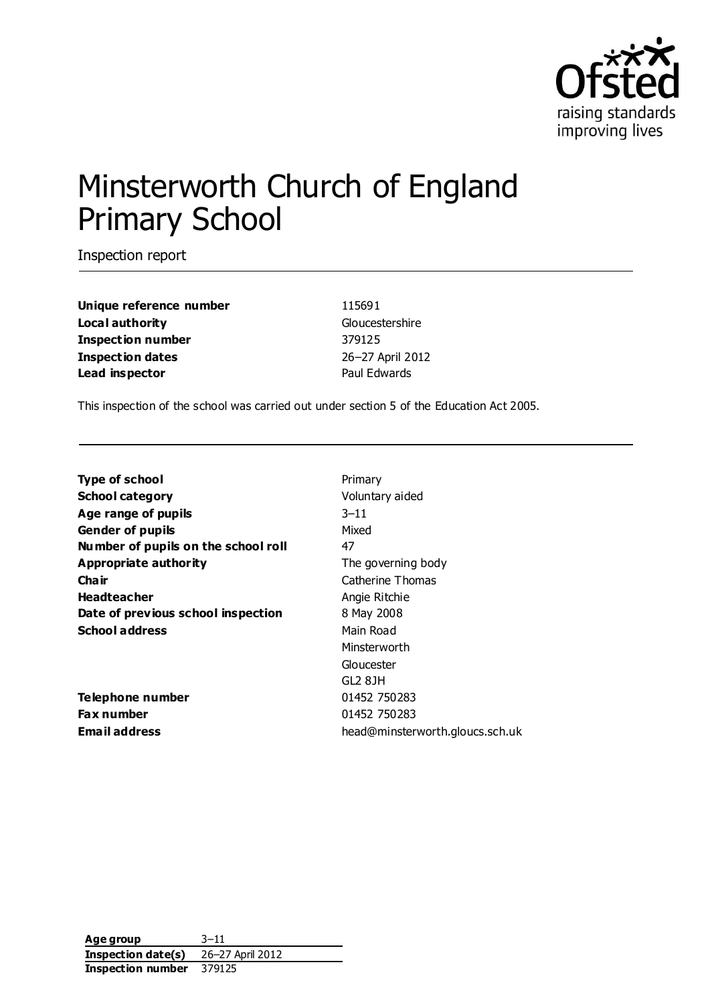

# Minsterworth Church of England Primary School

Inspection report

| Unique reference number  |
|--------------------------|
| Local authority          |
| <b>Inspection number</b> |
| Inspection dates         |
| Lead inspector           |

**Unique reference number** 115691 **Gloucestershire Inspection number** 379125 **Inspection dates** 26–27 April 2012 **Paul Edwards** 

This inspection of the school was carried out under section 5 of the Education Act 2005.

| Type of school                      | Primary                         |
|-------------------------------------|---------------------------------|
| School category                     | Voluntary aided                 |
| Age range of pupils                 | $3 - 11$                        |
| Gender of pupils                    | Mixed                           |
| Number of pupils on the school roll | 47                              |
| Appropriate authority               | The governing body              |
| Cha ir                              | Catherine Thomas                |
| Headteacher                         | Angie Ritchie                   |
| Date of previous school inspection  | 8 May 2008                      |
| School address                      | Main Road                       |
|                                     | Minsterworth                    |
|                                     | Gloucester                      |
|                                     | GL2 8JH                         |
| Telephone number                    | 01452 750283                    |
| Fax number                          | 01452 750283                    |
| <b>Email address</b>                | head@minsterworth.gloucs.sch.uk |
|                                     |                                 |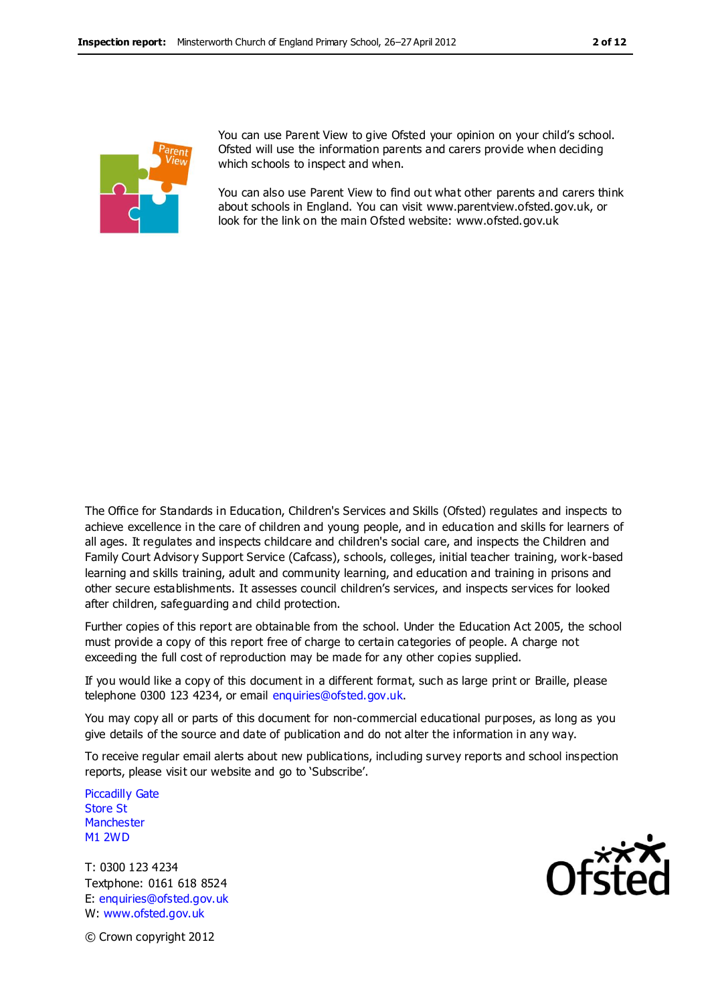

You can use Parent View to give Ofsted your opinion on your child's school. Ofsted will use the information parents and carers provide when deciding which schools to inspect and when.

You can also use Parent View to find out what other parents and carers think about schools in England. You can visit www.parentview.ofsted.gov.uk, or look for the link on the main Ofsted website: www.ofsted.gov.uk

The Office for Standards in Education, Children's Services and Skills (Ofsted) regulates and inspects to achieve excellence in the care of children and young people, and in education and skills for learners of all ages. It regulates and inspects childcare and children's social care, and inspects the Children and Family Court Advisory Support Service (Cafcass), schools, colleges, initial teacher training, work-based learning and skills training, adult and community learning, and education and training in prisons and other secure establishments. It assesses council children's services, and inspects services for looked after children, safeguarding and child protection.

Further copies of this report are obtainable from the school. Under the Education Act 2005, the school must provide a copy of this report free of charge to certain categories of people. A charge not exceeding the full cost of reproduction may be made for any other copies supplied.

If you would like a copy of this document in a different format, such as large print or Braille, please telephone 0300 123 4234, or email enquiries@ofsted.gov.uk.

You may copy all or parts of this document for non-commercial educational purposes, as long as you give details of the source and date of publication and do not alter the information in any way.

To receive regular email alerts about new publications, including survey reports and school inspection reports, please visit our website and go to 'Subscribe'.

Piccadilly Gate Store St **Manchester** M1 2WD

T: 0300 123 4234 Textphone: 0161 618 8524 E: enquiries@ofsted.gov.uk W: www.ofsted.gov.uk



© Crown copyright 2012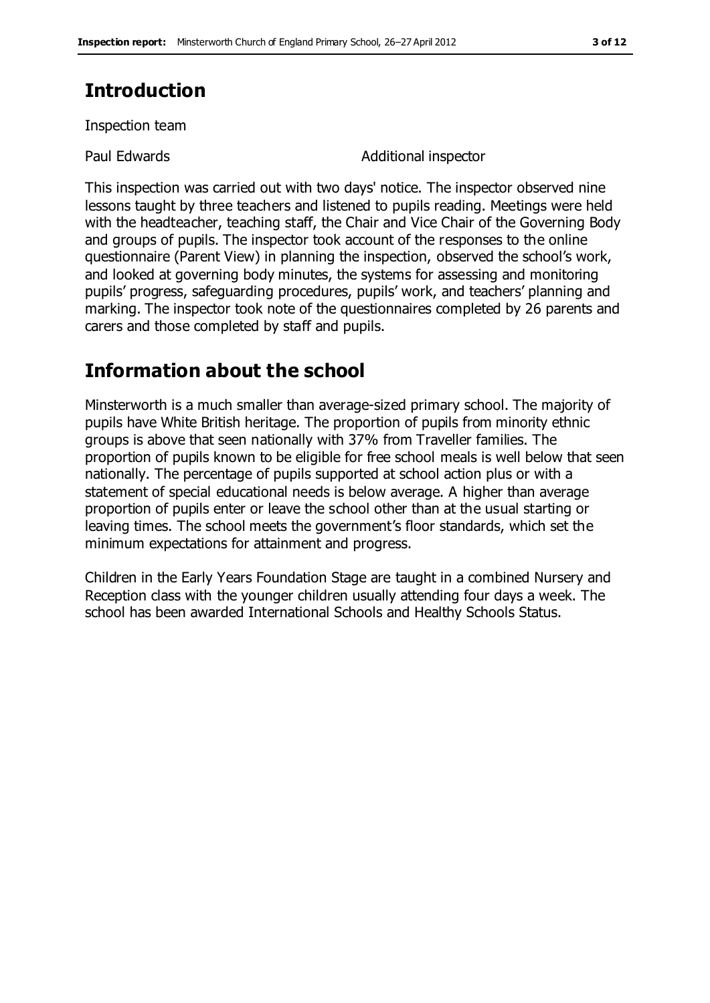## **Introduction**

Inspection team

Paul Edwards **Additional inspector** 

This inspection was carried out with two days' notice. The inspector observed nine lessons taught by three teachers and listened to pupils reading. Meetings were held with the headteacher, teaching staff, the Chair and Vice Chair of the Governing Body and groups of pupils. The inspector took account of the responses to the online questionnaire (Parent View) in planning the inspection, observed the school's work, and looked at governing body minutes, the systems for assessing and monitoring pupils' progress, safeguarding procedures, pupils' work, and teachers' planning and marking. The inspector took note of the questionnaires completed by 26 parents and carers and those completed by staff and pupils.

## **Information about the school**

Minsterworth is a much smaller than average-sized primary school. The majority of pupils have White British heritage. The proportion of pupils from minority ethnic groups is above that seen nationally with 37% from Traveller families. The proportion of pupils known to be eligible for free school meals is well below that seen nationally. The percentage of pupils supported at school action plus or with a statement of special educational needs is below average. A higher than average proportion of pupils enter or leave the school other than at the usual starting or leaving times. The school meets the government's floor standards, which set the minimum expectations for attainment and progress.

Children in the Early Years Foundation Stage are taught in a combined Nursery and Reception class with the younger children usually attending four days a week. The school has been awarded International Schools and Healthy Schools Status.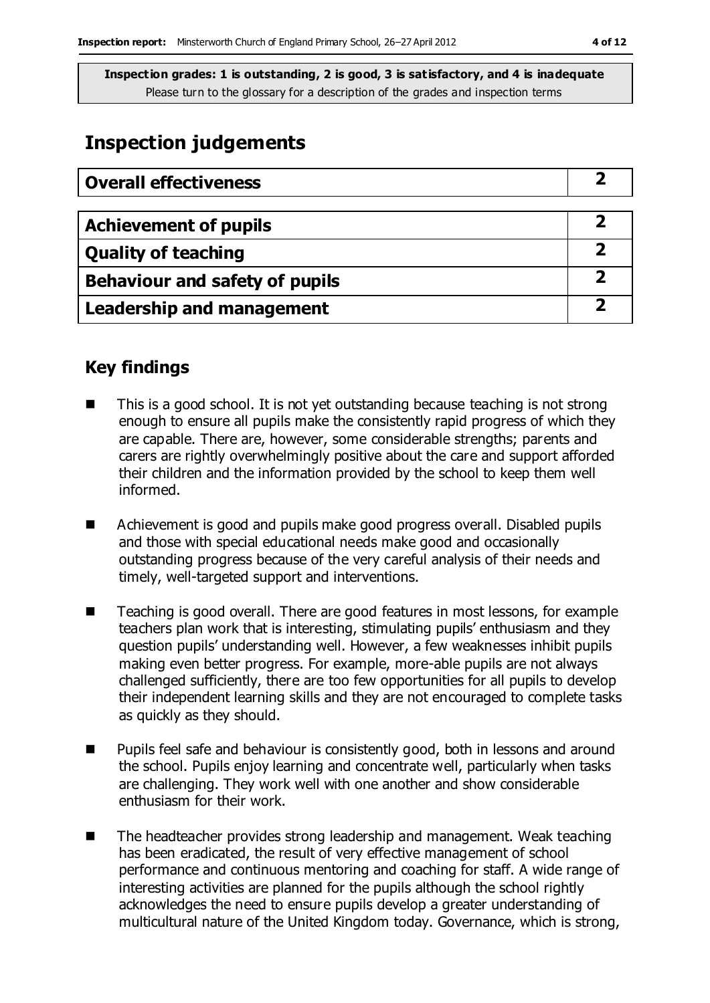## **Inspection judgements**

| <b>Overall effectiveness</b>          |  |
|---------------------------------------|--|
|                                       |  |
| <b>Achievement of pupils</b>          |  |
| <b>Quality of teaching</b>            |  |
| <b>Behaviour and safety of pupils</b> |  |
| <b>Leadership and management</b>      |  |

## **Key findings**

- This is a good school. It is not yet outstanding because teaching is not strong enough to ensure all pupils make the consistently rapid progress of which they are capable. There are, however, some considerable strengths; parents and carers are rightly overwhelmingly positive about the care and support afforded their children and the information provided by the school to keep them well informed.
- Achievement is good and pupils make good progress overall. Disabled pupils and those with special educational needs make good and occasionally outstanding progress because of the very careful analysis of their needs and timely, well-targeted support and interventions.
- Teaching is good overall. There are good features in most lessons, for example teachers plan work that is interesting, stimulating pupils' enthusiasm and they question pupils' understanding well. However, a few weaknesses inhibit pupils making even better progress. For example, more-able pupils are not always challenged sufficiently, there are too few opportunities for all pupils to develop their independent learning skills and they are not encouraged to complete tasks as quickly as they should.
- Pupils feel safe and behaviour is consistently good, both in lessons and around the school. Pupils enjoy learning and concentrate well, particularly when tasks are challenging. They work well with one another and show considerable enthusiasm for their work.
- The headteacher provides strong leadership and management. Weak teaching has been eradicated, the result of very effective management of school performance and continuous mentoring and coaching for staff. A wide range of interesting activities are planned for the pupils although the school rightly acknowledges the need to ensure pupils develop a greater understanding of multicultural nature of the United Kingdom today. Governance, which is strong,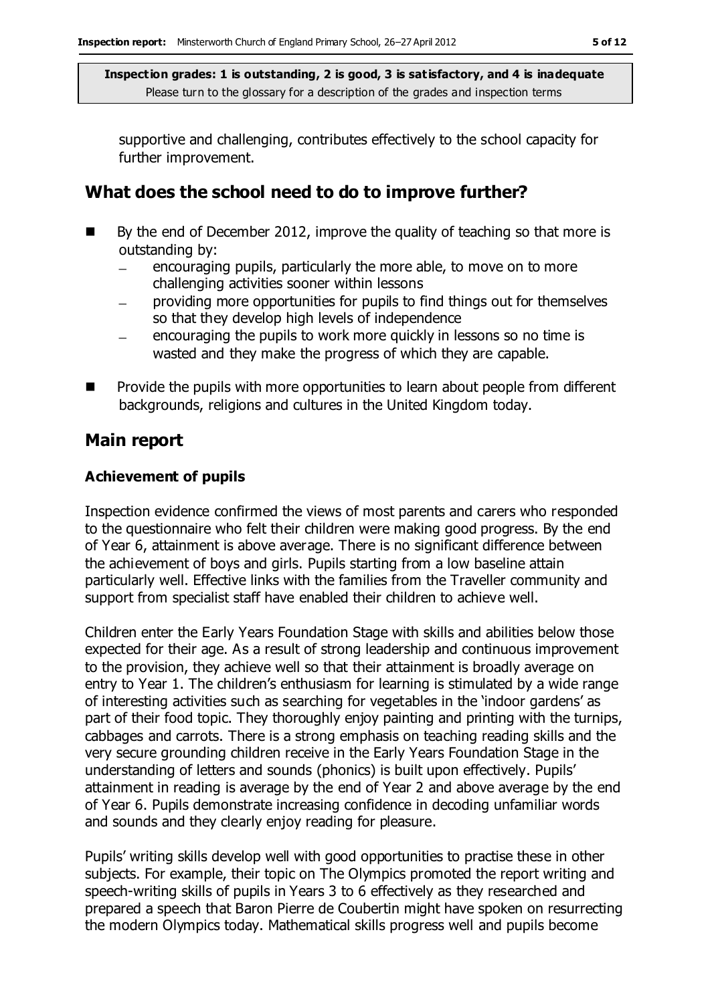supportive and challenging, contributes effectively to the school capacity for further improvement.

## **What does the school need to do to improve further?**

- $\blacksquare$  By the end of December 2012, improve the quality of teaching so that more is outstanding by:
	- encouraging pupils, particularly the more able, to move on to more challenging activities sooner within lessons
	- providing more opportunities for pupils to find things out for themselves  $\overline{\phantom{0}}$ so that they develop high levels of independence
	- encouraging the pupils to work more quickly in lessons so no time is  $\equiv$ wasted and they make the progress of which they are capable.
- $\blacksquare$  Provide the pupils with more opportunities to learn about people from different backgrounds, religions and cultures in the United Kingdom today.

### **Main report**

### **Achievement of pupils**

Inspection evidence confirmed the views of most parents and carers who responded to the questionnaire who felt their children were making good progress. By the end of Year 6, attainment is above average. There is no significant difference between the achievement of boys and girls. Pupils starting from a low baseline attain particularly well. Effective links with the families from the Traveller community and support from specialist staff have enabled their children to achieve well.

Children enter the Early Years Foundation Stage with skills and abilities below those expected for their age. As a result of strong leadership and continuous improvement to the provision, they achieve well so that their attainment is broadly average on entry to Year 1. The children's enthusiasm for learning is stimulated by a wide range of interesting activities such as searching for vegetables in the 'indoor gardens' as part of their food topic. They thoroughly enjoy painting and printing with the turnips, cabbages and carrots. There is a strong emphasis on teaching reading skills and the very secure grounding children receive in the Early Years Foundation Stage in the understanding of letters and sounds (phonics) is built upon effectively. Pupils' attainment in reading is average by the end of Year 2 and above average by the end of Year 6. Pupils demonstrate increasing confidence in decoding unfamiliar words and sounds and they clearly enjoy reading for pleasure.

Pupils' writing skills develop well with good opportunities to practise these in other subjects. For example, their topic on The Olympics promoted the report writing and speech-writing skills of pupils in Years 3 to 6 effectively as they researched and prepared a speech that Baron Pierre de Coubertin might have spoken on resurrecting the modern Olympics today. Mathematical skills progress well and pupils become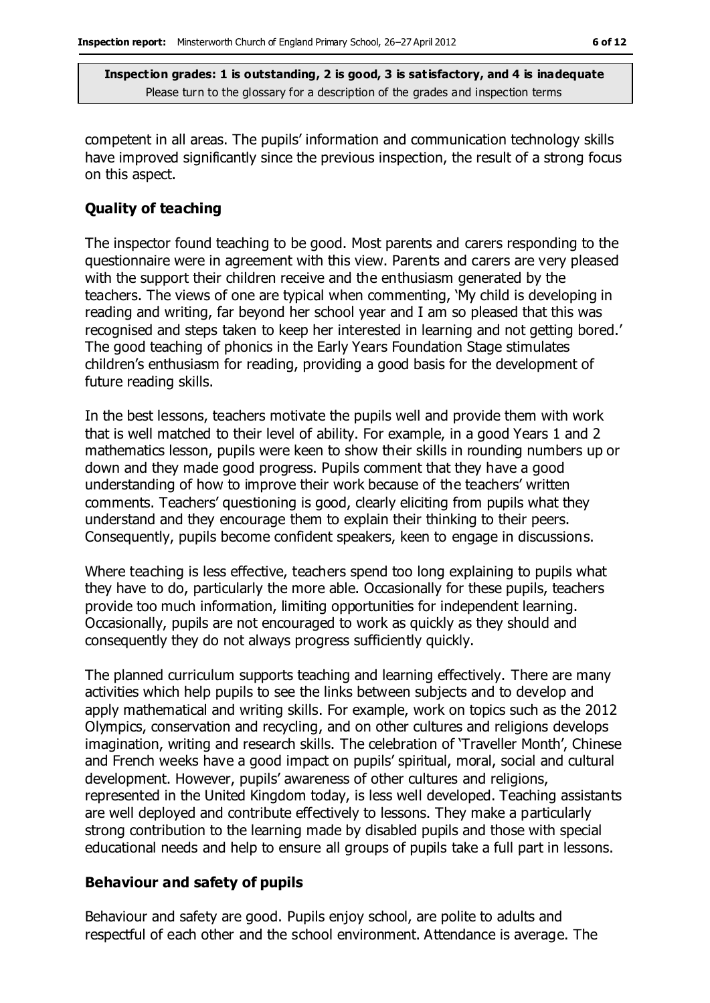competent in all areas. The pupils' information and communication technology skills have improved significantly since the previous inspection, the result of a strong focus on this aspect.

#### **Quality of teaching**

The inspector found teaching to be good. Most parents and carers responding to the questionnaire were in agreement with this view. Parents and carers are very pleased with the support their children receive and the enthusiasm generated by the teachers. The views of one are typical when commenting, 'My child is developing in reading and writing, far beyond her school year and I am so pleased that this was recognised and steps taken to keep her interested in learning and not getting bored.' The good teaching of phonics in the Early Years Foundation Stage stimulates children's enthusiasm for reading, providing a good basis for the development of future reading skills.

In the best lessons, teachers motivate the pupils well and provide them with work that is well matched to their level of ability. For example, in a good Years 1 and 2 mathematics lesson, pupils were keen to show their skills in rounding numbers up or down and they made good progress. Pupils comment that they have a good understanding of how to improve their work because of the teachers' written comments. Teachers' questioning is good, clearly eliciting from pupils what they understand and they encourage them to explain their thinking to their peers. Consequently, pupils become confident speakers, keen to engage in discussions.

Where teaching is less effective, teachers spend too long explaining to pupils what they have to do, particularly the more able. Occasionally for these pupils, teachers provide too much information, limiting opportunities for independent learning. Occasionally, pupils are not encouraged to work as quickly as they should and consequently they do not always progress sufficiently quickly.

The planned curriculum supports teaching and learning effectively. There are many activities which help pupils to see the links between subjects and to develop and apply mathematical and writing skills. For example, work on topics such as the 2012 Olympics, conservation and recycling, and on other cultures and religions develops imagination, writing and research skills. The celebration of 'Traveller Month', Chinese and French weeks have a good impact on pupils' spiritual, moral, social and cultural development. However, pupils' awareness of other cultures and religions, represented in the United Kingdom today, is less well developed. Teaching assistants are well deployed and contribute effectively to lessons. They make a particularly strong contribution to the learning made by disabled pupils and those with special educational needs and help to ensure all groups of pupils take a full part in lessons.

#### **Behaviour and safety of pupils**

Behaviour and safety are good. Pupils enjoy school, are polite to adults and respectful of each other and the school environment. Attendance is average. The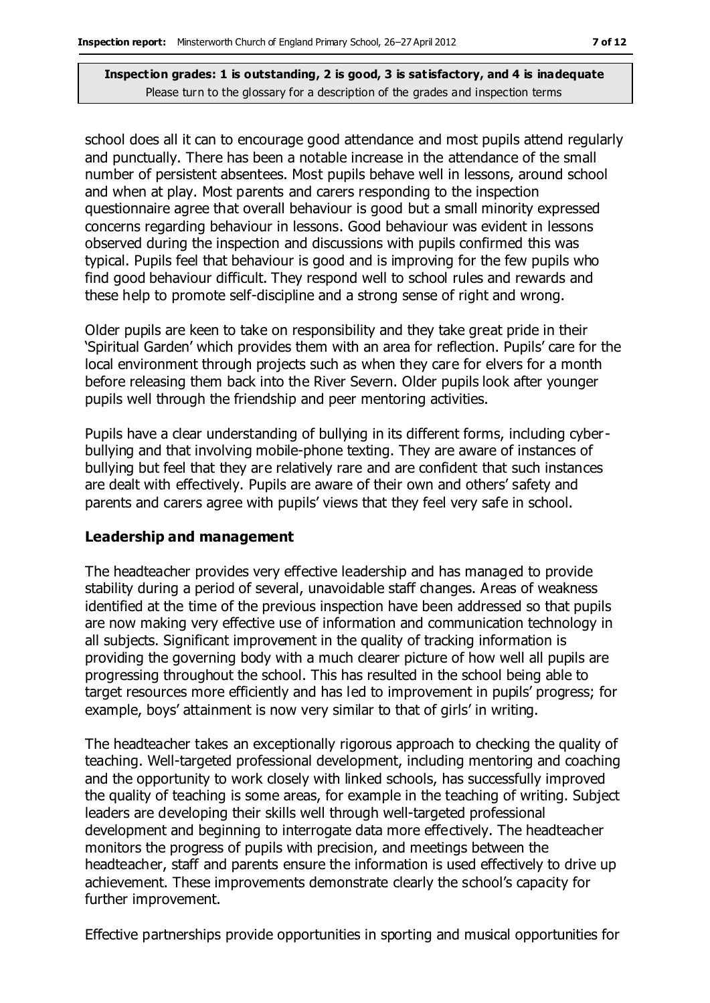school does all it can to encourage good attendance and most pupils attend regularly and punctually. There has been a notable increase in the attendance of the small number of persistent absentees. Most pupils behave well in lessons, around school and when at play. Most parents and carers responding to the inspection questionnaire agree that overall behaviour is good but a small minority expressed concerns regarding behaviour in lessons. Good behaviour was evident in lessons observed during the inspection and discussions with pupils confirmed this was typical. Pupils feel that behaviour is good and is improving for the few pupils who find good behaviour difficult. They respond well to school rules and rewards and these help to promote self-discipline and a strong sense of right and wrong.

Older pupils are keen to take on responsibility and they take great pride in their 'Spiritual Garden' which provides them with an area for reflection. Pupils' care for the local environment through projects such as when they care for elvers for a month before releasing them back into the River Severn. Older pupils look after younger pupils well through the friendship and peer mentoring activities.

Pupils have a clear understanding of bullying in its different forms, including cyberbullying and that involving mobile-phone texting. They are aware of instances of bullying but feel that they are relatively rare and are confident that such instances are dealt with effectively. Pupils are aware of their own and others' safety and parents and carers agree with pupils' views that they feel very safe in school.

#### **Leadership and management**

The headteacher provides very effective leadership and has managed to provide stability during a period of several, unavoidable staff changes. Areas of weakness identified at the time of the previous inspection have been addressed so that pupils are now making very effective use of information and communication technology in all subjects. Significant improvement in the quality of tracking information is providing the governing body with a much clearer picture of how well all pupils are progressing throughout the school. This has resulted in the school being able to target resources more efficiently and has led to improvement in pupils' progress; for example, boys' attainment is now very similar to that of girls' in writing.

The headteacher takes an exceptionally rigorous approach to checking the quality of teaching. Well-targeted professional development, including mentoring and coaching and the opportunity to work closely with linked schools, has successfully improved the quality of teaching is some areas, for example in the teaching of writing. Subject leaders are developing their skills well through well-targeted professional development and beginning to interrogate data more effectively. The headteacher monitors the progress of pupils with precision, and meetings between the headteacher, staff and parents ensure the information is used effectively to drive up achievement. These improvements demonstrate clearly the school's capacity for further improvement.

Effective partnerships provide opportunities in sporting and musical opportunities for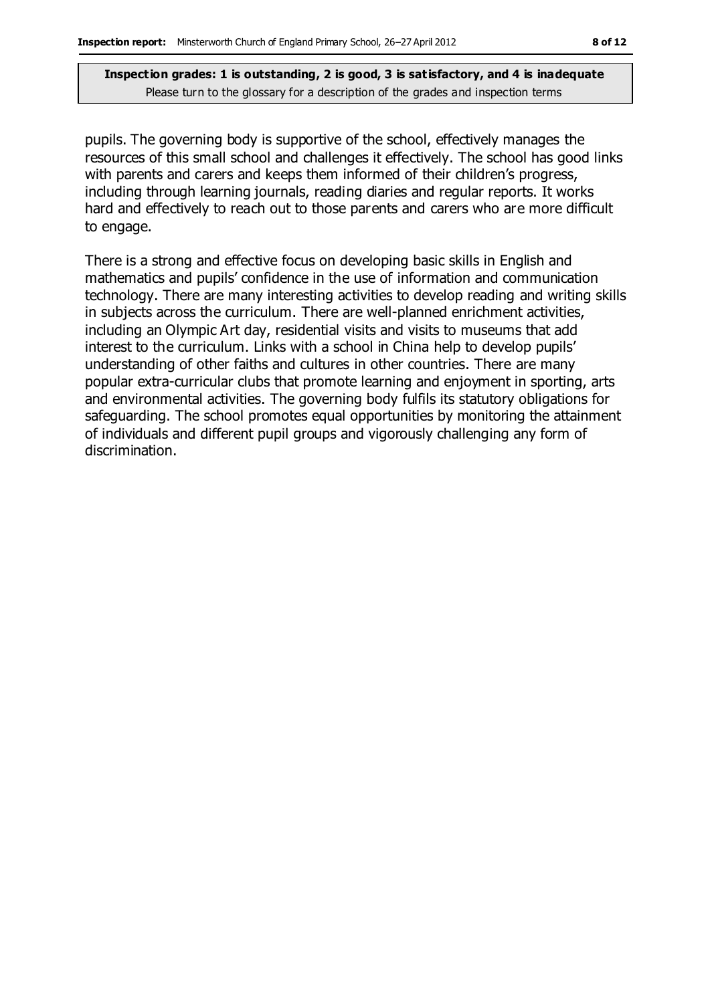pupils. The governing body is supportive of the school, effectively manages the resources of this small school and challenges it effectively. The school has good links with parents and carers and keeps them informed of their children's progress, including through learning journals, reading diaries and regular reports. It works hard and effectively to reach out to those parents and carers who are more difficult to engage.

There is a strong and effective focus on developing basic skills in English and mathematics and pupils' confidence in the use of information and communication technology. There are many interesting activities to develop reading and writing skills in subjects across the curriculum. There are well-planned enrichment activities, including an Olympic Art day, residential visits and visits to museums that add interest to the curriculum. Links with a school in China help to develop pupils' understanding of other faiths and cultures in other countries. There are many popular extra-curricular clubs that promote learning and enjoyment in sporting, arts and environmental activities. The governing body fulfils its statutory obligations for safeguarding. The school promotes equal opportunities by monitoring the attainment of individuals and different pupil groups and vigorously challenging any form of discrimination.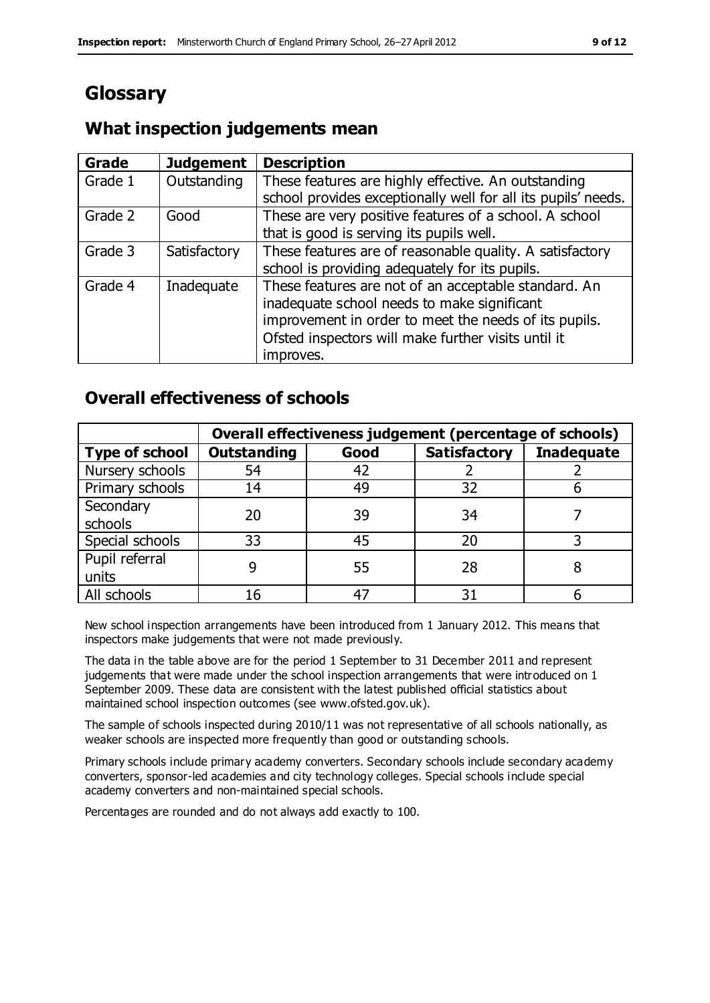## **Glossary**

## **What inspection judgements mean**

| Grade   | <b>Judgement</b> | <b>Description</b>                                            |
|---------|------------------|---------------------------------------------------------------|
| Grade 1 | Outstanding      | These features are highly effective. An outstanding           |
|         |                  | school provides exceptionally well for all its pupils' needs. |
| Grade 2 | Good             | These are very positive features of a school. A school        |
|         |                  | that is good is serving its pupils well.                      |
| Grade 3 | Satisfactory     | These features are of reasonable quality. A satisfactory      |
|         |                  | school is providing adequately for its pupils.                |
| Grade 4 | Inadequate       | These features are not of an acceptable standard. An          |
|         |                  | inadequate school needs to make significant                   |
|         |                  | improvement in order to meet the needs of its pupils.         |
|         |                  | Ofsted inspectors will make further visits until it           |
|         |                  | improves.                                                     |

## **Overall effectiveness of schools**

|                       | Overall effectiveness judgement (percentage of schools) |      |                     |                   |
|-----------------------|---------------------------------------------------------|------|---------------------|-------------------|
| <b>Type of school</b> | <b>Outstanding</b>                                      | Good | <b>Satisfactory</b> | <b>Inadequate</b> |
| Nursery schools       | 54                                                      | 42   |                     |                   |
| Primary schools       | 14                                                      | 49   | 32                  |                   |
| Secondary             | 20                                                      | 39   | 34                  |                   |
| schools               |                                                         |      |                     |                   |
| Special schools       | 33                                                      | 45   | 20                  |                   |
| Pupil referral        |                                                         | 55   | 28                  |                   |
| units                 |                                                         |      |                     |                   |
| All schools           | 16                                                      | 47   | 31                  |                   |

New school inspection arrangements have been introduced from 1 January 2012. This means that inspectors make judgements that were not made previously.

The data in the table above are for the period 1 September to 31 December 2011 and represent judgements that were made under the school inspection arrangements that were introduced on 1 September 2009. These data are consistent with the latest published official statistics about maintained school inspection outcomes (see www.ofsted.gov.uk).

The sample of schools inspected during 2010/11 was not representative of all schools nationally, as weaker schools are inspected more frequently than good or outstanding schools.

Primary schools include primary academy converters. Secondary schools include secondary academy converters, sponsor-led academies and city technology colleges. Special schools include special academy converters and non-maintained special schools.

Percentages are rounded and do not always add exactly to 100.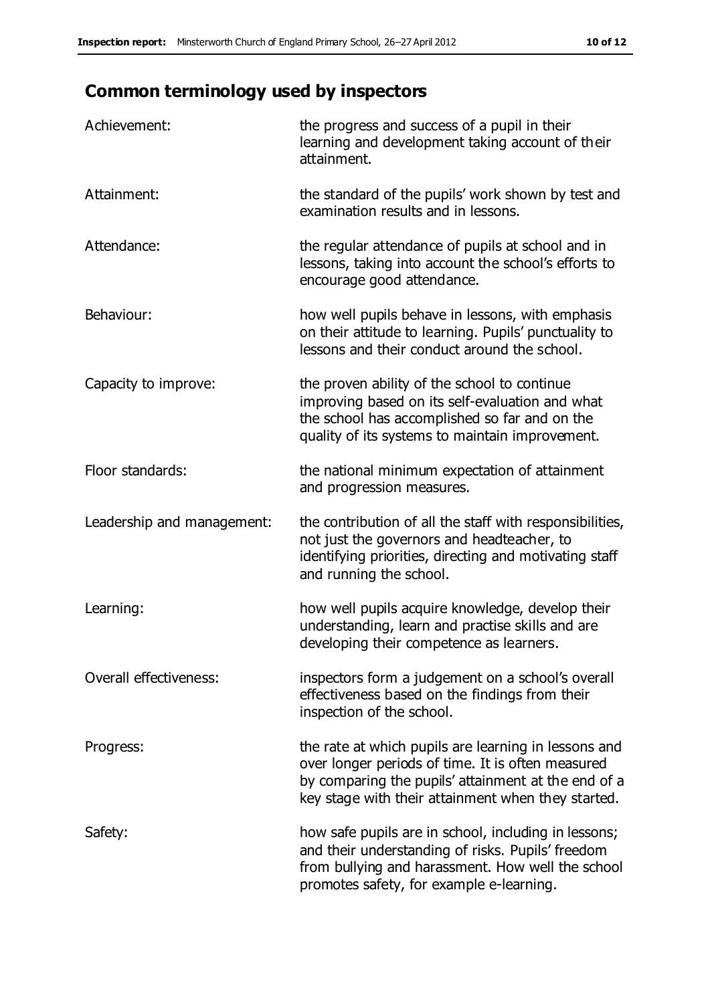## **Common terminology used by inspectors**

| Achievement:               | the progress and success of a pupil in their<br>learning and development taking account of their<br>attainment.                                                                                                        |
|----------------------------|------------------------------------------------------------------------------------------------------------------------------------------------------------------------------------------------------------------------|
| Attainment:                | the standard of the pupils' work shown by test and<br>examination results and in lessons.                                                                                                                              |
| Attendance:                | the regular attendance of pupils at school and in<br>lessons, taking into account the school's efforts to<br>encourage good attendance.                                                                                |
| Behaviour:                 | how well pupils behave in lessons, with emphasis<br>on their attitude to learning. Pupils' punctuality to<br>lessons and their conduct around the school.                                                              |
| Capacity to improve:       | the proven ability of the school to continue<br>improving based on its self-evaluation and what<br>the school has accomplished so far and on the<br>quality of its systems to maintain improvement.                    |
| Floor standards:           | the national minimum expectation of attainment<br>and progression measures.                                                                                                                                            |
| Leadership and management: | the contribution of all the staff with responsibilities,<br>not just the governors and headteacher, to<br>identifying priorities, directing and motivating staff<br>and running the school.                            |
| Learning:                  | how well pupils acquire knowledge, develop their<br>understanding, learn and practise skills and are<br>developing their competence as learners.                                                                       |
| Overall effectiveness:     | inspectors form a judgement on a school's overall<br>effectiveness based on the findings from their<br>inspection of the school.                                                                                       |
| Progress:                  | the rate at which pupils are learning in lessons and<br>over longer periods of time. It is often measured<br>by comparing the pupils' attainment at the end of a<br>key stage with their attainment when they started. |
| Safety:                    | how safe pupils are in school, including in lessons;<br>and their understanding of risks. Pupils' freedom<br>from bullying and harassment. How well the school<br>promotes safety, for example e-learning.             |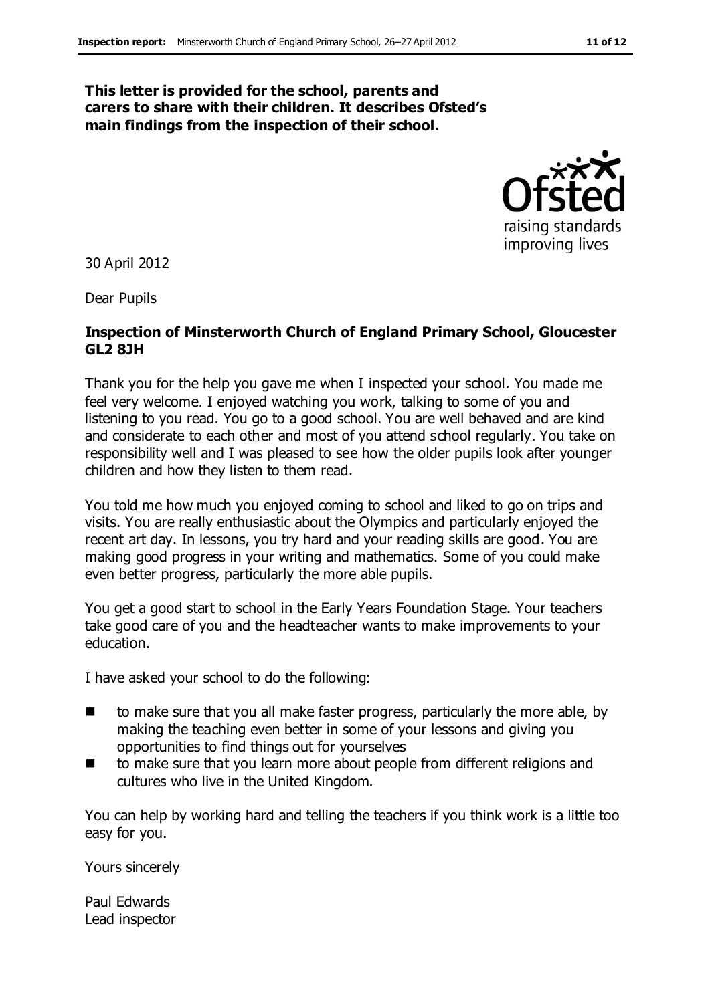#### **This letter is provided for the school, parents and carers to share with their children. It describes Ofsted's main findings from the inspection of their school.**



30 April 2012

Dear Pupils

#### **Inspection of Minsterworth Church of England Primary School, Gloucester GL2 8JH**

Thank you for the help you gave me when I inspected your school. You made me feel very welcome. I enjoyed watching you work, talking to some of you and listening to you read. You go to a good school. You are well behaved and are kind and considerate to each other and most of you attend school regularly. You take on responsibility well and I was pleased to see how the older pupils look after younger children and how they listen to them read.

You told me how much you enjoyed coming to school and liked to go on trips and visits. You are really enthusiastic about the Olympics and particularly enjoyed the recent art day. In lessons, you try hard and your reading skills are good. You are making good progress in your writing and mathematics. Some of you could make even better progress, particularly the more able pupils.

You get a good start to school in the Early Years Foundation Stage. Your teachers take good care of you and the headteacher wants to make improvements to your education.

I have asked your school to do the following:

- to make sure that you all make faster progress, particularly the more able, by making the teaching even better in some of your lessons and giving you opportunities to find things out for yourselves
- to make sure that you learn more about people from different religions and cultures who live in the United Kingdom.

You can help by working hard and telling the teachers if you think work is a little too easy for you.

Yours sincerely

Paul Edwards Lead inspector